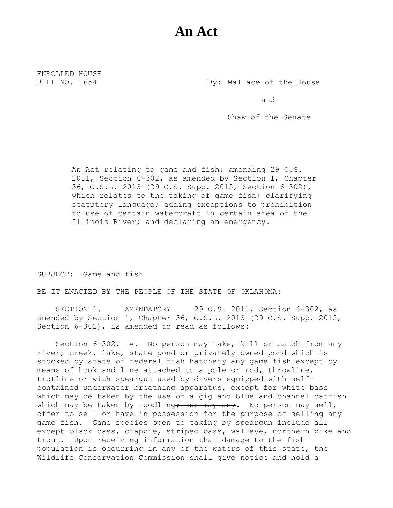## **An Act**

ENROLLED HOUSE

BILL NO. 1654 By: Wallace of the House

and

Shaw of the Senate

An Act relating to game and fish; amending 29 O.S. 2011, Section 6-302, as amended by Section 1, Chapter 36, O.S.L. 2013 (29 O.S. Supp. 2015, Section 6-302), which relates to the taking of game fish; clarifying statutory language; adding exceptions to prohibition to use of certain watercraft in certain area of the Illinois River; and declaring an emergency.

SUBJECT: Game and fish

BE IT ENACTED BY THE PEOPLE OF THE STATE OF OKLAHOMA:

SECTION 1. AMENDATORY 29 O.S. 2011, Section 6-302, as amended by Section 1, Chapter 36, O.S.L. 2013 (29 O.S. Supp. 2015, Section 6-302), is amended to read as follows:

Section 6-302. A. No person may take, kill or catch from any river, creek, lake, state pond or privately owned pond which is stocked by state or federal fish hatchery any game fish except by means of hook and line attached to a pole or rod, throwline, trotline or with speargun used by divers equipped with selfcontained underwater breathing apparatus, except for white bass which may be taken by the use of a gig and blue and channel catfish which may be taken by noodling<del>; nor may any</del>. No person may sell, offer to sell or have in possession for the purpose of selling any game fish. Game species open to taking by speargun include all except black bass, crappie, striped bass, walleye, northern pike and trout. Upon receiving information that damage to the fish population is occurring in any of the waters of this state, the Wildlife Conservation Commission shall give notice and hold a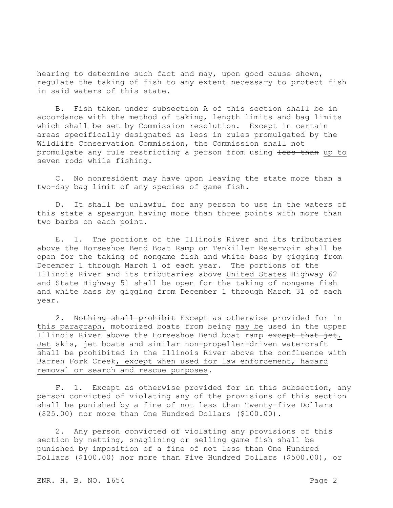hearing to determine such fact and may, upon good cause shown, regulate the taking of fish to any extent necessary to protect fish in said waters of this state.

B. Fish taken under subsection A of this section shall be in accordance with the method of taking, length limits and bag limits which shall be set by Commission resolution. Except in certain areas specifically designated as less in rules promulgated by the Wildlife Conservation Commission, the Commission shall not promulgate any rule restricting a person from using less than up to seven rods while fishing.

C. No nonresident may have upon leaving the state more than a two-day bag limit of any species of game fish.

D. It shall be unlawful for any person to use in the waters of this state a speargun having more than three points with more than two barbs on each point.

E. 1. The portions of the Illinois River and its tributaries above the Horseshoe Bend Boat Ramp on Tenkiller Reservoir shall be open for the taking of nongame fish and white bass by gigging from December 1 through March 1 of each year. The portions of the Illinois River and its tributaries above United States Highway 62 and State Highway 51 shall be open for the taking of nongame fish and white bass by gigging from December 1 through March 31 of each year.

2. Nothing shall prohibit Except as otherwise provided for in this paragraph, motorized boats from being may be used in the upper Illinois River above the Horseshoe Bend boat ramp except that jet. Jet skis, jet boats and similar non-propeller-driven watercraft shall be prohibited in the Illinois River above the confluence with Barren Fork Creek, except when used for law enforcement, hazard removal or search and rescue purposes.

F. 1. Except as otherwise provided for in this subsection, any person convicted of violating any of the provisions of this section shall be punished by a fine of not less than Twenty-five Dollars (\$25.00) nor more than One Hundred Dollars (\$100.00).

2. Any person convicted of violating any provisions of this section by netting, snaglining or selling game fish shall be punished by imposition of a fine of not less than One Hundred Dollars (\$100.00) nor more than Five Hundred Dollars (\$500.00), or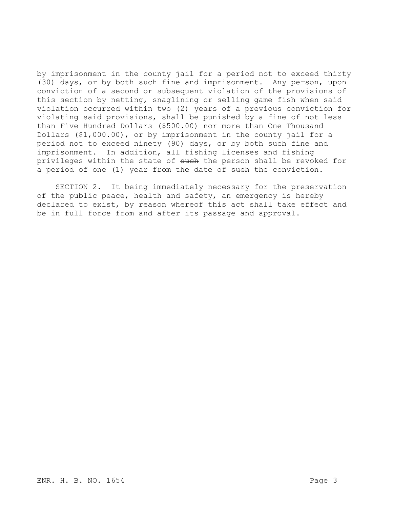by imprisonment in the county jail for a period not to exceed thirty (30) days, or by both such fine and imprisonment. Any person, upon conviction of a second or subsequent violation of the provisions of this section by netting, snaglining or selling game fish when said violation occurred within two (2) years of a previous conviction for violating said provisions, shall be punished by a fine of not less than Five Hundred Dollars (\$500.00) nor more than One Thousand Dollars (\$1,000.00), or by imprisonment in the county jail for a period not to exceed ninety (90) days, or by both such fine and imprisonment. In addition, all fishing licenses and fishing privileges within the state of such the person shall be revoked for a period of one (1) year from the date of such the conviction.

SECTION 2. It being immediately necessary for the preservation of the public peace, health and safety, an emergency is hereby declared to exist, by reason whereof this act shall take effect and be in full force from and after its passage and approval.